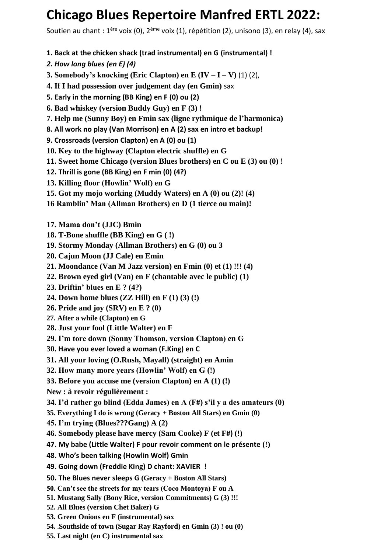## **Chicago Blues Repertoire Manfred ERTL 2022:**

Soutien au chant : 1<sup>ère</sup> voix (0), 2<sup>ème</sup> voix (1), répétition (2), unisono (3), en relay (4), sax

- **1. Back at the chicken shack (trad instrumental) en G (instrumental) !**
- *2. How long blues (en E) (4)*
- **3. Somebody's knocking (Eric Clapton) en E (IV – I – V)** (1) (2),
- **4. If I had possession over judgement day (en Gmin)** sax
- **5. Early in the morning (BB King) en F (0) ou (2)**
- **6. Bad whiskey (version Buddy Guy) en F (3) !**
- **7. Help me (Sunny Boy) en Fmin sax (ligne rythmique de l'harmonica)**
- **8. All work no play (Van Morrison) en A (2) sax en intro et backup!**
- **9. Crossroads (version Clapton) en A (0) ou (1)**
- **10. Key to the highway (Clapton electric shuffle) en G**
- **11. Sweet home Chicago (version Blues brothers) en C ou E (3) ou (0) !**
- **12. Thrill is gone (BB King) en F min (0) (4?)**
- **13. Killing floor (Howlin' Wolf) en G**
- **15. Got my mojo working (Muddy Waters) en A (0) ou (2)! (4)**
- **16 Ramblin' Man (Allman Brothers) en D (1 tierce ou main)!**
- **17. Mama don't (JJC) Bmin**
- **18. T-Bone shuffle (BB King) en G ( !)**
- **19. Stormy Monday (Allman Brothers) en G (0) ou 3**
- **20. Cajun Moon (JJ Cale) en Emin**
- **21. Moondance (Van M Jazz version) en Fmin (0) et (1) !!! (4)**
- **22. Brown eyed girl (Van) en F (chantable avec le public) (1)**
- **23. Driftin' blues en E ? (4?)**
- **24. Down home blues (ZZ Hill) en F (1) (3) (!)**
- **26. Pride and joy (SRV) en E ? (0)**
- **27. After a while (Clapton) en G**
- **28. Just your fool (Little Walter) en F**
- **29. I'm tore down (Sonny Thomson, version Clapton) en G**
- **30. Have you ever loved a woman (F.King) en C**
- **31. All your loving (O.Rush, Mayall) (straight) en Amin**
- **32. How many more years (Howlin' Wolf) en G (!)**
- **33. Before you accuse me (version Clapton) en A (1) (!)**
- **New : à revoir régulièrement :**
- **34. I'd rather go blind (Edda James) en A (F#) s'il y a des amateurs (0)**
- **35. Everything I do is wrong (Geracy + Boston All Stars) en Gmin (0)**
- **45. I'm trying (Blues???Gang) A (2)**
- **46. Somebody please have mercy (Sam Cooke) F (et F#) (!)**
- **47. My babe (Little Walter) F pour revoir comment on le présente (!)**
- **48. Who's been talking (Howlin Wolf) Gmin**
- **49. Going down (Freddie King) D chant: XAVIER !**
- **50. The Blues never sleeps G (Geracy + Boston All Stars)**
- **50. Can't see the streets for my tears (Coco Montoya) F ou A**
- **51. Mustang Sally (Bony Rice, version Commitments) G (3) !!!**
- **52. All Blues (version Chet Baker) G**
- **53. Green Onions en F (instrumental) sax**
- **54. .Southside of town (Sugar Ray Rayford) en Gmin (3) ! ou (0)**
- **55. Last night (en C) instrumental sax**